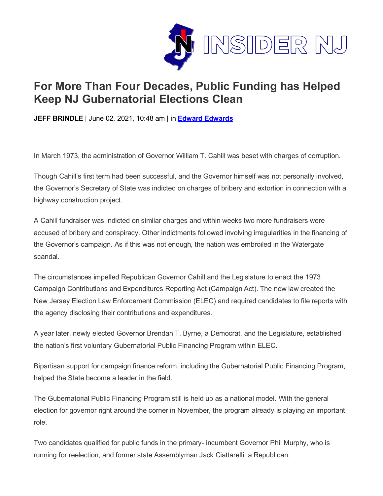

## **For More Than Four Decades, Public Funding has Helped Keep NJ Gubernatorial Elections Clean**

**JEFF BRINDLE** | June 02, 2021, 10:48 am | in **Edward [Edwards](https://www.insidernj.com/category/edward-edwards/)**

In March 1973, the administration of Governor William T. Cahill was beset with charges of corruption.

Though Cahill's first term had been successful, and the Governor himself was not personally involved, the Governor's Secretary of State was indicted on charges of bribery and extortion in connection with a highway construction project.

A Cahill fundraiser was indicted on similar charges and within weeks two more fundraisers were accused of bribery and conspiracy. Other indictments followed involving irregularities in the financing of the Governor's campaign. As if this was not enough, the nation was embroiled in the Watergate scandal.

The circumstances impelled Republican Governor Cahill and the Legislature to enact the 1973 Campaign Contributions and Expenditures Reporting Act (Campaign Act). The new law created the New Jersey Election Law Enforcement Commission (ELEC) and required candidates to file reports with the agency disclosing their contributions and expenditures.

A year later, newly elected Governor Brendan T. Byrne, a Democrat, and the Legislature, established the nation's first voluntary Gubernatorial Public Financing Program within ELEC.

Bipartisan support for campaign finance reform, including the Gubernatorial Public Financing Program, helped the State become a leader in the field.

The Gubernatorial Public Financing Program still is held up as a national model. With the general election for governor right around the corner in November, the program already is playing an important role.

Two candidates qualified for public funds in the primary- incumbent Governor Phil Murphy, who is running for reelection, and former state Assemblyman Jack Ciattarelli, a Republican.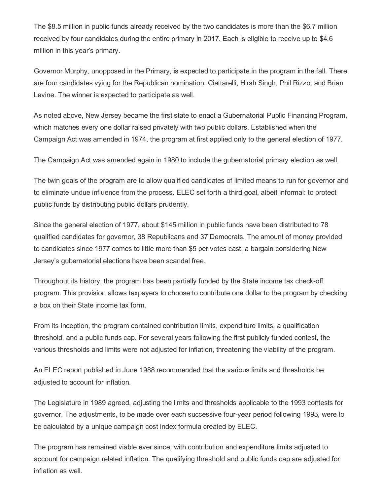The \$8.5 million in public funds already received by the two candidates is more than the \$6.7 million received by four candidates during the entire primary in 2017. Each is eligible to receive up to \$4.6 million in this year's primary.

Governor Murphy, unopposed in the Primary, is expected to participate in the program in the fall. There are four candidates vying for the Republican nomination: Ciattarelli, Hirsh Singh, Phil Rizzo, and Brian Levine. The winner is expected to participate as well.

As noted above, New Jersey became the first state to enact a Gubernatorial Public Financing Program, which matches every one dollar raised privately with two public dollars. Established when the Campaign Act was amended in 1974, the program at first applied only to the general election of 1977.

The Campaign Act was amended again in 1980 to include the gubernatorial primary election as well.

The twin goals of the program are to allow qualified candidates of limited means to run for governor and to eliminate undue influence from the process. ELEC set forth a third goal, albeit informal: to protect public funds by distributing public dollars prudently.

Since the general election of 1977, about \$145 million in public funds have been distributed to 78 qualified candidates for governor, 38 Republicans and 37 Democrats. The amount of money provided to candidates since 1977 comes to little more than \$5 per votes cast, a bargain considering New Jersey's gubernatorial elections have been scandal free.

Throughout its history, the program has been partially funded by the State income tax check-off program. This provision allows taxpayers to choose to contribute one dollar to the program by checking a box on their State income tax form.

From its inception, the program contained contribution limits, expenditure limits, a qualification threshold, and a public funds cap. For several years following the first publicly funded contest, the various thresholds and limits were not adjusted for inflation, threatening the viability of the program.

An ELEC report published in June 1988 recommended that the various limits and thresholds be adjusted to account for inflation.

The Legislature in 1989 agreed, adjusting the limits and thresholds applicable to the 1993 contests for governor. The adjustments, to be made over each successive four-year period following 1993, were to be calculated by a unique campaign cost index formula created by ELEC.

The program has remained viable ever since, with contribution and expenditure limits adjusted to account for campaign related inflation. The qualifying threshold and public funds cap are adjusted for inflation as well.